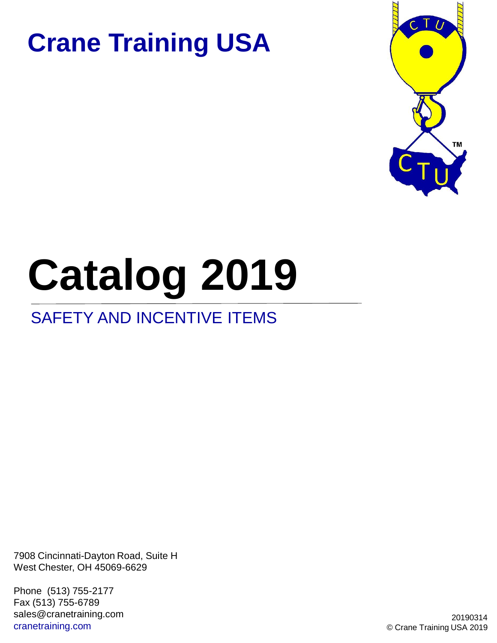

# **Catalog 2019**

#### SAFETY AND INCENTIVE ITEMS

7908 Cincinnati-Dayton Road, Suite H West Chester, OH 45069-6629

Phone (513) 755-2177 Fax (513) 755-6789 sales@cranetraining.com cranetraining.com

20190314 © Crane Training USA 2019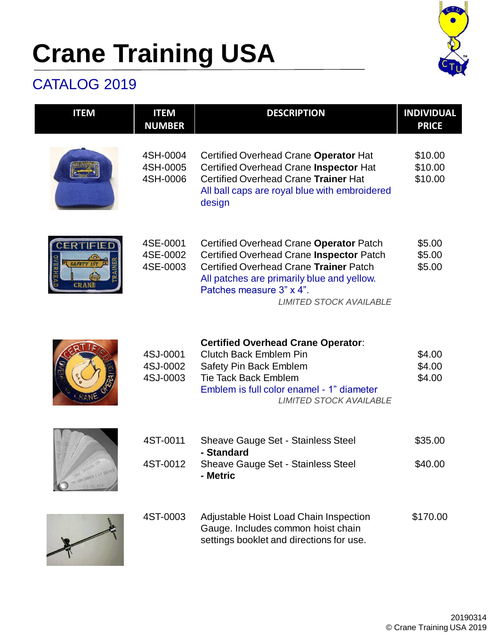

#### CATALOG 2019

| <b>ITEM</b>                                    | <b>ITEM</b><br><b>NUMBER</b>     | <b>DESCRIPTION</b>                                                                                                                                                                                                                        | <b>INDIVIDUAL</b><br><b>PRICE</b> |
|------------------------------------------------|----------------------------------|-------------------------------------------------------------------------------------------------------------------------------------------------------------------------------------------------------------------------------------------|-----------------------------------|
|                                                | 4SH-0004<br>4SH-0005<br>4SH-0006 | Certified Overhead Crane Operator Hat<br>Certified Overhead Crane Inspector Hat<br>Certified Overhead Crane Trainer Hat<br>All ball caps are royal blue with embroidered<br>design                                                        | \$10.00<br>\$10.00<br>\$10.00     |
| <b>BERTIFIED</b><br><b>SAFETY IST</b><br>CRANE | 4SE-0001<br>4SE-0002<br>4SE-0003 | Certified Overhead Crane Operator Patch<br>Certified Overhead Crane Inspector Patch<br>Certified Overhead Crane Trainer Patch<br>All patches are primarily blue and yellow.<br>Patches measure 3" x 4".<br><b>LIMITED STOCK AVAILABLE</b> | \$5.00<br>\$5.00<br>\$5.00        |
|                                                | 4SJ-0001<br>4SJ-0002<br>4SJ-0003 | <b>Certified Overhead Crane Operator:</b><br><b>Clutch Back Emblem Pin</b><br>Safety Pin Back Emblem<br><b>Tie Tack Back Emblem</b><br>Emblem is full color enamel - 1" diameter<br><b>LIMITED STOCK AVAILABLE</b>                        | \$4.00<br>\$4.00<br>\$4.00        |
|                                                | 4ST-0011                         | Sheave Gauge Set - Stainless Steel<br>- Standard                                                                                                                                                                                          | \$35.00                           |
| WAY GROVES 1 1/2 JIR. 1/3                      | 4ST-0012                         | Sheave Gauge Set - Stainless Steel<br>- Metric                                                                                                                                                                                            | \$40.00                           |
|                                                | 4ST-0003                         | Adjustable Hoist Load Chain Inspection<br>Gauge. Includes common hoist chain<br>settings booklet and directions for use.                                                                                                                  | \$170.00                          |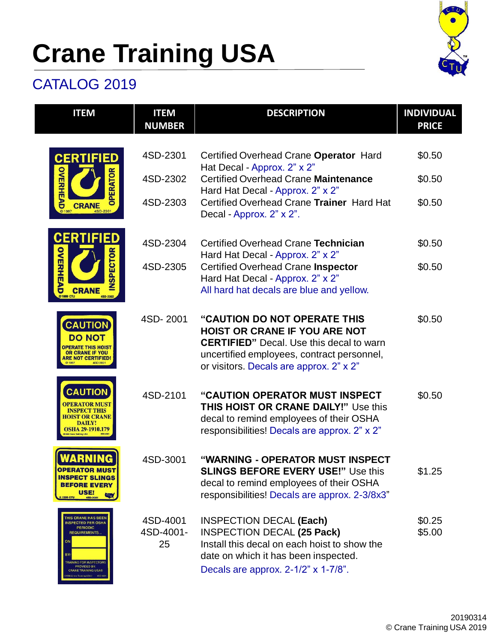

#### CATALOG 2019

| <b>ITEM</b>                                                                                                                                                                                                             | <b>ITEM</b><br><b>NUMBER</b> | <b>DESCRIPTION</b>                                                                                                                                                                                                | <b>INDIVIDUAL</b><br><b>PRICE</b> |
|-------------------------------------------------------------------------------------------------------------------------------------------------------------------------------------------------------------------------|------------------------------|-------------------------------------------------------------------------------------------------------------------------------------------------------------------------------------------------------------------|-----------------------------------|
| <b>CERTIFIED</b>                                                                                                                                                                                                        | 4SD-2301                     | Certified Overhead Crane Operator Hard<br>Hat Decal - Approx. 2" x 2"                                                                                                                                             | \$0.50                            |
| OVERHEAD<br>PERATOR                                                                                                                                                                                                     | 4SD-2302                     | <b>Certified Overhead Crane Maintenance</b>                                                                                                                                                                       | \$0.50                            |
| <b>CRANE</b><br>C 1997<br>4SD-2301                                                                                                                                                                                      | 4SD-2303                     | Hard Hat Decal - Approx. 2" x 2"<br>Certified Overhead Crane Trainer Hard Hat<br>Decal - Approx. 2" x 2".                                                                                                         | \$0.50                            |
| <b>CERTIFIED</b>                                                                                                                                                                                                        | 4SD-2304                     | Certified Overhead Crane Technician<br>Hard Hat Decal - Approx. 2" x 2"                                                                                                                                           | \$0.50                            |
| OVERHEAD<br><b>SPECTOR</b><br><b>CRANE</b><br>450-230                                                                                                                                                                   | 4SD-2305                     | <b>Certified Overhead Crane Inspector</b><br>Hard Hat Decal - Approx. 2" x 2"<br>All hard hat decals are blue and yellow.                                                                                         | \$0.50                            |
| <b>CAUTION</b><br><b>DO NOT</b><br><b>OR CRANE IF YOU</b><br>ARE NOT CERTIFIED                                                                                                                                          | 4SD-2001                     | "CAUTION DO NOT OPERATE THIS<br><b>HOIST OR CRANE IF YOU ARE NOT</b><br><b>CERTIFIED</b> " Decal. Use this decal to warn<br>uncertified employees, contract personnel,<br>or visitors. Decals are approx. 2" x 2" | \$0.50                            |
| <b>CAUTION</b><br><b>HOIST OR CRANE</b><br>DAILY!<br>OSHA 29-1910.179                                                                                                                                                   | 4SD-2101                     | "CAUTION OPERATOR MUST INSPECT<br><b>THIS HOIST OR CRANE DAILY!" Use this</b><br>decal to remind employees of their OSHA<br>responsibilities! Decals are approx. 2" x 2"                                          | \$0.50                            |
| WARNING<br><b>OPERATOR MUST</b><br><b>INSPECT SLINGS</b><br><b>BEFORE EVERY</b><br>USE!<br><b>Cru</b><br>UTO 6661 C<br>4SD-3001                                                                                         | 4SD-3001                     | "WARNING - OPERATOR MUST INSPECT<br><b>SLINGS BEFORE EVERY USE!" Use this</b><br>decal to remind employees of their OSHA<br>responsibilities! Decals are approx. 2-3/8x3"                                         | \$1.25                            |
| THIS CRANE HAS BEEN<br><b>INSPECTED PER OSHA</b><br><b>PERIODIC</b><br><b>REQUIREMENTS</b><br>Ó<br>BY.<br><b>TRAINING FOR INSPECTORS</b><br>PROVIDED BY:<br><b>CRANE TRAINING USA®</b><br>6 Craw Training USA:) 450-400 | 4SD-4001<br>4SD-4001-<br>25  | <b>INSPECTION DECAL (Each)</b><br><b>INSPECTION DECAL (25 Pack)</b><br>Install this decal on each hoist to show the<br>date on which it has been inspected.<br>Decals are approx. 2-1/2" x 1-7/8".                | \$0.25<br>\$5.00                  |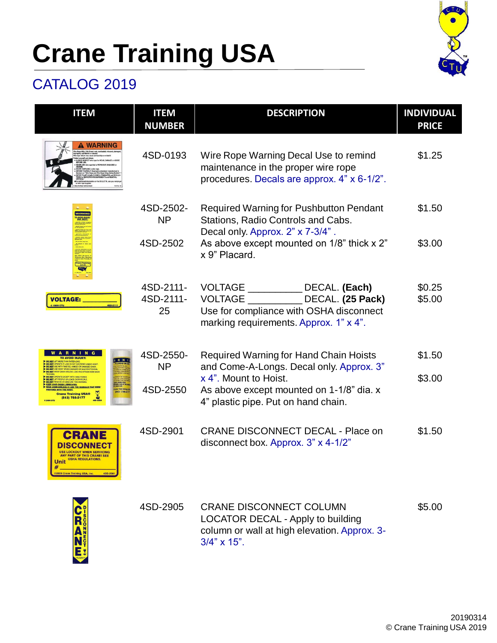

#### CATALOG 2019

| <b>ITEM</b>                                                                                                                                                                                                                                                                                          | <b>ITEM</b><br><b>NUMBER</b> | <b>DESCRIPTION</b>                                                                                                                                         | <b>INDIVIDUAL</b><br><b>PRICE</b> |
|------------------------------------------------------------------------------------------------------------------------------------------------------------------------------------------------------------------------------------------------------------------------------------------------------|------------------------------|------------------------------------------------------------------------------------------------------------------------------------------------------------|-----------------------------------|
| <b>WARNING</b>                                                                                                                                                                                                                                                                                       | 4SD-0193                     | Wire Rope Warning Decal Use to remind<br>maintenance in the proper wire rope<br>procedures. Decals are approx. 4" x 6-1/2".                                | \$1.25                            |
|                                                                                                                                                                                                                                                                                                      | 4SD-2502-<br><b>NP</b>       | Required Warning for Pushbutton Pendant<br>Stations, Radio Controls and Cabs.                                                                              | \$1.50                            |
|                                                                                                                                                                                                                                                                                                      | 4SD-2502                     | Decal only. Approx. 2" x 7-3/4".<br>As above except mounted on 1/8" thick x 2"<br>x 9" Placard.                                                            | \$3.00                            |
| <b>VOLTAGE:</b><br>450-21                                                                                                                                                                                                                                                                            | 4SD-2111-<br>4SD-2111-<br>25 | <b>VOLTAGE</b><br>DECAL. (Each)<br>DECAL. (25 Pack)<br><b>VOLTAGE</b><br>Use for compliance with OSHA disconnect<br>marking requirements. Approx. 1" x 4". | \$0.25<br>\$5.00                  |
| <b>ARNI</b><br><b>TO AVOID INJURY</b><br>MORE THAN RATED LOAD.<br>ERATE IF LOAD IS NOT CENTERED UNDER HOIS<br>PERATE IF LUMP IS NOT CENTERED UNDER MUS<br>SE WITH TWISTED, KINKED OR DAMAGED CHAIN.<br>ISE HOIST WHEN DAMAGED OR MALFUNCTIONING<br><b>IAP CHAIN AROUND LOAD AND ATTACH HOOK BACK</b> | 4SD-2550-<br><b>NP</b>       | <b>Required Warning for Hand Chain Hoists</b><br>and Come-A-Longs. Decal only. Approx. 3"                                                                  | \$1.50                            |
| ERATE EXCEPT WITH HAND POWER<br><b>JFT PEOPLE OR LOADS OVER PEOPLE</b><br><b>DO NOT REMOVE OR OBSCURE THIS WARNING</b><br><b>EEP LOAD CHAIN LUBRICATED</b><br><u>INSI,BJD,16 AND THE MANUALS THAT WERE</u><br>ITH THE HOIST,<br>(513) 755-2<br><b>Crane Training USA®</b><br>(513) 755-2177          | 4SD-2550                     | x 4". Mount to Hoist.<br>As above except mounted on 1-1/8" dia. x<br>4" plastic pipe. Put on hand chain.                                                   | \$3.00                            |
| <b>CRANE</b><br><b>USE LOCKOUT WHEN SERVICING</b><br><b>ANY PART OF THIS CRANE! SEE</b><br><b>OSHA REGULATIONS.</b><br>Unit<br>2009 Crane Training USA, Inc.<br>4SD-2901                                                                                                                             | 4SD-2901                     | <b>CRANE DISCONNECT DECAL - Place on</b><br>disconnect box. Approx. 3" x 4-1/2"                                                                            | \$1.50                            |
| $\tilde{\mathbf{R}}_0^{\text{s}}$<br>A                                                                                                                                                                                                                                                               | 4SD-2905                     | <b>CRANE DISCONNECT COLUMN</b><br><b>LOCATOR DECAL - Apply to building</b><br>column or wall at high elevation. Approx. 3-<br>$3/4$ " x $15$ ".            | \$5.00                            |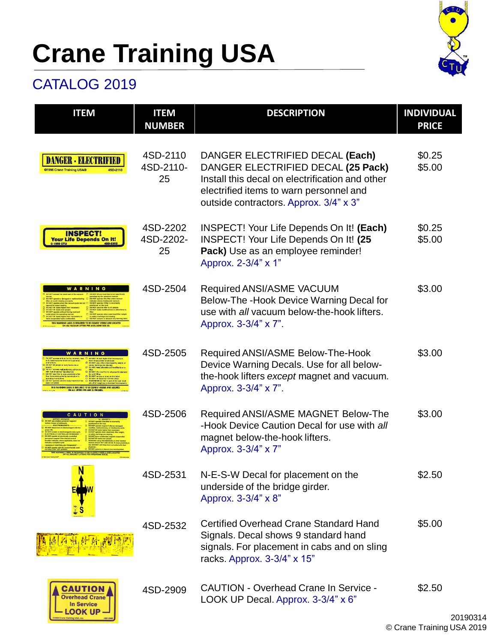

#### CATALOG 2019

Training USA, Inc.

| <b>ITEM</b>                                                                                                                 | <b>ITEM</b><br><b>NUMBER</b> | <b>DESCRIPTION</b>                                                                                                                                                                                            | <b>INDIVIDUAL</b><br><b>PRICE</b> |
|-----------------------------------------------------------------------------------------------------------------------------|------------------------------|---------------------------------------------------------------------------------------------------------------------------------------------------------------------------------------------------------------|-----------------------------------|
| @1996 Crane Training USA®<br>4SD-2110                                                                                       | 4SD-2110<br>4SD-2110-<br>25  | DANGER ELECTRIFIED DECAL (Each)<br>DANGER ELECTRIFIED DECAL (25 Pack)<br>Install this decal on electrification and other<br>electrified items to warn personnel and<br>outside contractors. Approx. 3/4" x 3" | \$0.25<br>\$5.00                  |
| <b>INSPECT!</b><br><b>Your Life Depends On It!</b><br>0 1999 CTU<br>4SD-2202                                                | 4SD-2202<br>4SD-2202-<br>25  | INSPECT! Your Life Depends On It! (Each)<br>INSPECT! Your Life Depends On It! (25<br>Pack) Use as an employee reminder!<br>Approx. 2-3/4" x 1"                                                                | \$0.25<br>\$5.00                  |
| WARNING<br><b>LABIL IS REQUIRED TO BE CLEARLY VISIBLE AND L</b><br>L VACUUM LIFTERS PER ANSI/ASME B30.2                     | 4SD-2504                     | Required ANSI/ASME VACUUM<br>Below-The -Hook Device Warning Decal for<br>use with all vacuum below-the-hook lifters.<br>Approx. 3-3/4" x 7".                                                                  | \$3.00                            |
| ing unit or one<br>LI REMEMBER the litter is part of the<br>THIS WARNING LABEL IS REQUIRED TO BE CLEARLY VISIBLE AND LOCATE | 4SD-2505                     | Required ANSI/ASME Below-The-Hook<br>Device Warning Decals. Use for all below-<br>the-hook lifters except magnet and vacuum.<br>Approx. 3-3/4" x 7".                                                          | \$3.00                            |
| O N                                                                                                                         | 4SD-2506                     | Required ANSI/ASME MAGNET Below-The<br>-Hook Device Caution Decal for use with all<br>magnet below-the-hook lifters.<br>Approx. 3-3/4" x 7"                                                                   | \$3.00                            |
|                                                                                                                             | 4SD-2531                     | N-E-S-W Decal for placement on the<br>underside of the bridge girder.<br>Approx. 3-3/4" x 8"                                                                                                                  | \$2.50                            |
|                                                                                                                             | 4SD-2532                     | Certified Overhead Crane Standard Hand<br>Signals. Decal shows 9 standard hand<br>signals. For placement in cabs and on sling<br>racks. Approx. 3-3/4" x 15"                                                  | \$5.00                            |
| CAUTION<br><b>Overhead Crane</b><br><b>In Service</b><br><b>LOOK UP</b>                                                     | 4SD-2909                     | <b>CAUTION - Overhead Crane In Service -</b><br>LOOK UP Decal. Approx. 3-3/4" x 6"                                                                                                                            | \$2.50                            |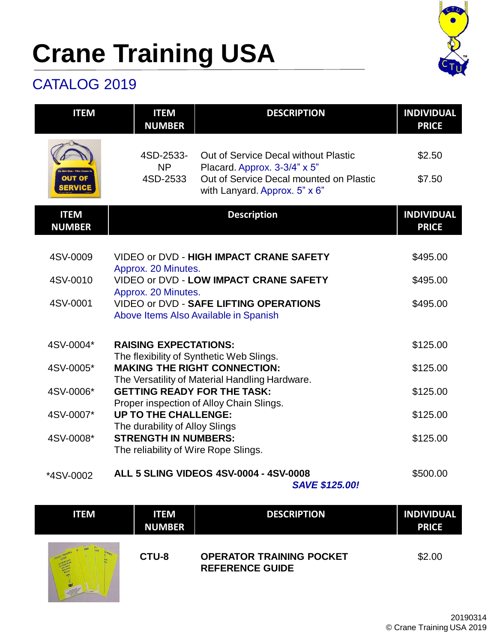

#### CATALOG 2019

| <b>ITEM</b>                  | <b>ITEM</b><br><b>NUMBER</b>                                                                          | <b>DESCRIPTION</b>                                                       | <b>INDIVIDUAL</b><br><b>PRICE</b> |
|------------------------------|-------------------------------------------------------------------------------------------------------|--------------------------------------------------------------------------|-----------------------------------|
|                              | 4SD-2533-<br><b>NP</b>                                                                                | Out of Service Decal without Plastic<br>Placard. Approx. 3-3/4" x 5"     | \$2.50                            |
| <b>OUT OF</b><br>SERVICE     | 4SD-2533                                                                                              | Out of Service Decal mounted on Plastic<br>with Lanyard. Approx. 5" x 6" | \$7.50                            |
| <b>ITEM</b><br><b>NUMBER</b> |                                                                                                       | <b>Description</b>                                                       | <b>INDIVIDUAL</b><br><b>PRICE</b> |
|                              |                                                                                                       |                                                                          |                                   |
| 4SV-0009                     | Approx. 20 Minutes.                                                                                   | VIDEO or DVD - HIGH IMPACT CRANE SAFETY                                  | \$495.00                          |
| 4SV-0010                     | VIDEO or DVD - LOW IMPACT CRANE SAFETY                                                                |                                                                          | \$495.00                          |
| 4SV-0001                     | Approx. 20 Minutes.<br>VIDEO or DVD - SAFE LIFTING OPERATIONS                                         |                                                                          | \$495.00                          |
|                              |                                                                                                       | Above Items Also Available in Spanish                                    |                                   |
| 4SV-0004*                    | <b>RAISING EXPECTATIONS:</b>                                                                          |                                                                          | \$125.00                          |
| 4SV-0005*                    | The flexibility of Synthetic Web Slings.<br><b>MAKING THE RIGHT CONNECTION:</b>                       |                                                                          | \$125.00                          |
| 4SV-0006*                    | The Versatility of Material Handling Hardware.                                                        |                                                                          | \$125.00                          |
|                              | <b>GETTING READY FOR THE TASK:</b><br>Proper inspection of Alloy Chain Slings.                        |                                                                          |                                   |
| 4SV-0007*                    | <b>UP TO THE CHALLENGE:</b>                                                                           |                                                                          | \$125.00                          |
| 4SV-0008*                    | The durability of Alloy Slings<br><b>STRENGTH IN NUMBERS:</b><br>The reliability of Wire Rope Slings. |                                                                          | \$125.00                          |
| *4SV-0002                    |                                                                                                       | ALL 5 SLING VIDEOS 4SV-0004 - 4SV-0008                                   | \$500.00                          |

*SAVE \$125.00!* 

| <b>ITEM</b> | <b>ITEM</b><br><b>NUMBER</b> | <b>DESCRIPTION</b>                                        | <b>INDIVIDUAL</b><br><b>PRICE</b> |
|-------------|------------------------------|-----------------------------------------------------------|-----------------------------------|
| <b>CEN</b>  | CTU-8                        | <b>OPERATOR TRAINING POCKET</b><br><b>REFERENCE GUIDE</b> | \$2.00                            |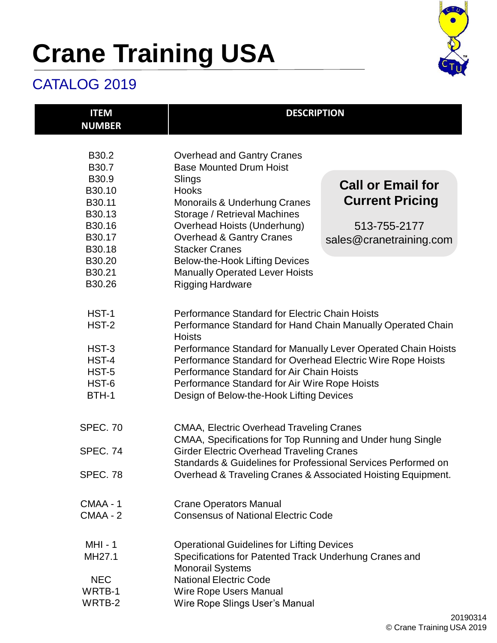

#### CATALOG 2019

| <b>ITEM</b><br><b>NUMBER</b> | <b>DESCRIPTION</b>                                                                                                                                                              |                          |  |
|------------------------------|---------------------------------------------------------------------------------------------------------------------------------------------------------------------------------|--------------------------|--|
| B30.2<br>B30.7               | <b>Overhead and Gantry Cranes</b><br><b>Base Mounted Drum Hoist</b>                                                                                                             |                          |  |
| B30.9                        | Slings                                                                                                                                                                          |                          |  |
| B30.10                       | <b>Hooks</b>                                                                                                                                                                    | <b>Call or Email for</b> |  |
| B30.11                       | <b>Monorails &amp; Underhung Cranes</b>                                                                                                                                         | <b>Current Pricing</b>   |  |
| B30.13                       | Storage / Retrieval Machines                                                                                                                                                    |                          |  |
| B30.16                       | Overhead Hoists (Underhung)                                                                                                                                                     | 513-755-2177             |  |
| B30.17                       | <b>Overhead &amp; Gantry Cranes</b>                                                                                                                                             | sales@cranetraining.com  |  |
| B30.18                       | <b>Stacker Cranes</b>                                                                                                                                                           |                          |  |
| B30.20                       | <b>Below-the-Hook Lifting Devices</b>                                                                                                                                           |                          |  |
| B30.21                       | <b>Manually Operated Lever Hoists</b>                                                                                                                                           |                          |  |
| B30.26                       | <b>Rigging Hardware</b>                                                                                                                                                         |                          |  |
| HST-1                        | Performance Standard for Electric Chain Hoists                                                                                                                                  |                          |  |
| HST-2                        | Performance Standard for Hand Chain Manually Operated Chain<br><b>Hoists</b>                                                                                                    |                          |  |
| HST-3                        | Performance Standard for Manually Lever Operated Chain Hoists                                                                                                                   |                          |  |
| HST-4                        | Performance Standard for Overhead Electric Wire Rope Hoists                                                                                                                     |                          |  |
| HST-5                        | Performance Standard for Air Chain Hoists                                                                                                                                       |                          |  |
| HST-6                        | Performance Standard for Air Wire Rope Hoists                                                                                                                                   |                          |  |
| BTH-1                        | Design of Below-the-Hook Lifting Devices                                                                                                                                        |                          |  |
| <b>SPEC. 70</b>              | <b>CMAA, Electric Overhead Traveling Cranes</b>                                                                                                                                 |                          |  |
| <b>SPEC. 74</b>              | CMAA, Specifications for Top Running and Under hung Single<br><b>Girder Electric Overhead Traveling Cranes</b><br>Standards & Guidelines for Professional Services Performed on |                          |  |
| <b>SPEC. 78</b>              | Overhead & Traveling Cranes & Associated Hoisting Equipment.                                                                                                                    |                          |  |
| CMAA-1                       | <b>Crane Operators Manual</b>                                                                                                                                                   |                          |  |
| CMAA-2                       | <b>Consensus of National Electric Code</b>                                                                                                                                      |                          |  |
| <b>MHI - 1</b>               | <b>Operational Guidelines for Lifting Devices</b>                                                                                                                               |                          |  |
| MH27.1                       | Specifications for Patented Track Underhung Cranes and                                                                                                                          |                          |  |
|                              | <b>Monorail Systems</b>                                                                                                                                                         |                          |  |
| <b>NEC</b>                   | <b>National Electric Code</b>                                                                                                                                                   |                          |  |
| WRTB-1                       | Wire Rope Users Manual                                                                                                                                                          |                          |  |
| WRTB-2                       | Wire Rope Slings User's Manual                                                                                                                                                  |                          |  |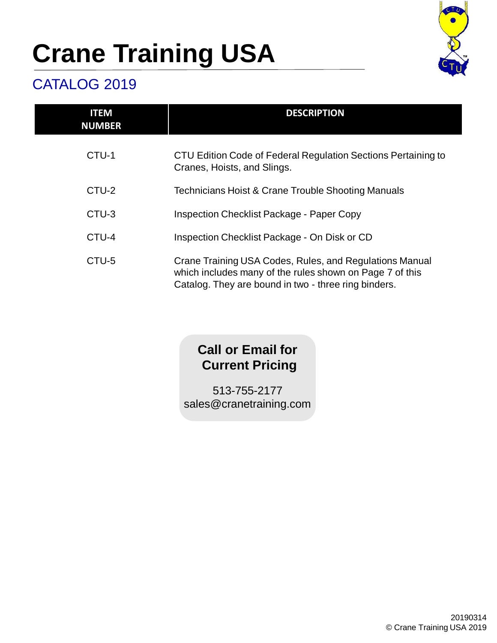

#### CATALOG 2019

| <b>ITEM</b><br><b>NUMBER</b> | <b>DESCRIPTION</b>                                                                                                                                                          |
|------------------------------|-----------------------------------------------------------------------------------------------------------------------------------------------------------------------------|
| CTU-1                        | CTU Edition Code of Federal Regulation Sections Pertaining to<br>Cranes, Hoists, and Slings.                                                                                |
| CTU-2                        | <b>Technicians Hoist &amp; Crane Trouble Shooting Manuals</b>                                                                                                               |
| CTU-3                        | <b>Inspection Checklist Package - Paper Copy</b>                                                                                                                            |
| CTU-4                        | Inspection Checklist Package - On Disk or CD                                                                                                                                |
| CTU-5                        | Crane Training USA Codes, Rules, and Regulations Manual<br>which includes many of the rules shown on Page 7 of this<br>Catalog. They are bound in two - three ring binders. |

#### **Call or Email for Current Pricing**

513-755-2177 sales@cranetraining.com